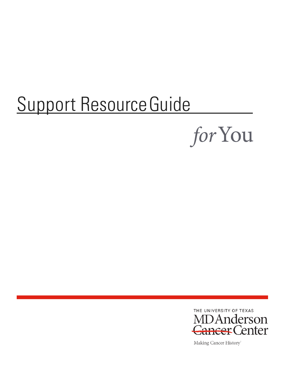# Support Resource Guide





Making Cancer History®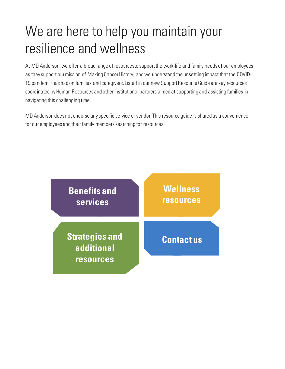## We are here to help you maintain your resilience and wellness

At MD Anderson, we offer a broad range of resourcesto support the work-life and family needs of our employees as they support our mission of Making Cancer History, and we understand the unsettling impact that the COVID-19 pandemic has had on families and caregivers. Listed in our new Support Resource Guide are key resources coordinated by Human Resources and other institutional partners aimed at supporting and assisting families in navigating this challenging time.

MD Anderson does not endorse any specific service or vendor. This resource guide is shared as a convenience for our employees and their family members searching for resources.

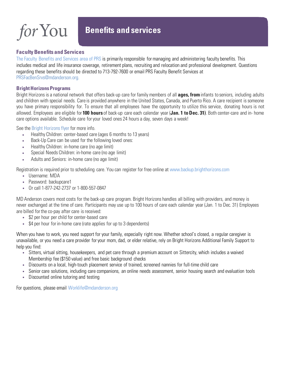for You

### **Benefits and services**

#### <span id="page-2-0"></span>**Faculty Benefits and Services**

[The Faculty Benefits and Services area of PRS](https://inside.mdanderson.org/departments/prs/faculty-benefits-and-services.html) is primarily responsible for managing and administering faculty benefits. This includes medical and life insurance coverage, retirement plans, recruiting and relocation and professional development. Questions regarding these benefits should be directed to 713-792-7600 or email PRS Faculty Benefit Services at [PRSFacBenSrvs@mdanderson.org.](mailto:PRSFacBenSrvs@mdanderson.org)

#### **[Bright Horizons P](http://www.backup.brighthorizons.com/)rograms**

Bright Horizons is a national network that offers back-up care for family members of all **ages, from**infants to seniors, including adults and children with special needs. Care is provided anywhere in the United States, Canada, and Puerto Rico. A care recipient issomeone you have primary responsibility for. To ensure that all employees have the opportunity to utilize this service, donating hours is not allowed. Employees are eligible for **100 hours** of back-up care each calendar year (**Jan. 1 to Dec. 31)**. Both center-care and in- home care options available. Schedule care for your loved ones 24 hours a day, seven days a week!

See the [Bright Horizons flyer](https://inside.mdanderson.org/humanresources/working-at-md-anderson/worklife-and-wellness/bh-100-hours-extra-days-support.pdf) for more info.

- Healthy Children: center-based care (ages 6 months to 13 years)
- Back-Up Care can be used for the following loved ones:
- Healthy Children: in-home care (no age limit)
- Special Needs Children: in-home care (no age limit)
- Adults and Seniors: in-home care (no age limit)

Registration is required prior to scheduling care. You can register for free online at [www.backup.brighthorizons.com](http://www.backup.brighthorizons.com/)

- Username: MDA
- Password: backupcare1
- Or call 1-877-242-2737 or 1-800-557-0847

MD Anderson covers most costs for the back-up care program. Bright Horizons handles all billing with providers, and money is never exchanged at the time of care. Participants may use up to 100 hours of care each calendar year (Jan. 1 to Dec. 31) Employees are billed for the co-pay after care is received:

- \$2 per hour per child for center-based care
- \$4 per hour for in-home care (rate applies for up to 3 dependents)

When you have to work, you need support for your family, especially right now. Whether school's closed, a regular caregiver is unavailable, or you need a care provider for your mom, dad, or elder relative, rely on Bright Horizons Additional Family Support to help you find:

- Sitters, virtual sitting, housekeepers, and pet care through a premium account on Sittercity, which includes a waived Membership fee (\$150 value) and free basic background checks
- Discounts on a local, high-touch placement service of trained, screened nannies for full-time child care
- Senior care solutions, including care companions, an online needs assessment, senior housing search and evaluation tools
- Discounted online tutoring and testing

For questions, please email [Worklife@mdanderson.org](mailto:Worklife@mdanderson.org)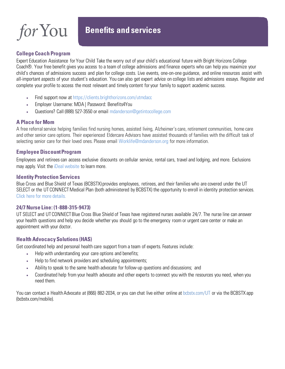

### **Benefits and services**

#### **College Coach Program**

Expert Education Assistance for Your Child Take the worry out of your child's educational future with Bright Horizons College Coach®. Your free benefit gives you access to a team of college admissions and finance experts who can help you maximize your child's chances of admissions success and plan for college costs. Live events, one-on-one guidance, and online resources assist with all-important aspects of your student's education. You can also get expert advice on college lists and admissions essays. Register and complete your profile to access the most relevant and timely content for your family to support academic success.

- Find support now at <https://clients.brighthorizons.com/utmdacc>
- Employer Username: MDA | Password: Benefits4You
- Questions? Call (888) 527-3550 or email [mdanderson@getintocollege.com](mailto:mdanderson@getintocollege.com)

#### **A Place for Mom**

A free referral service helping families find nursing homes, assisted living, Alzheimer's care, retirement communities, home care and other senior care options. Their experienced Eldercare Advisors have assisted thousands of families with the difficult task of selecting senior care for their loved ones. Please email [Worklife@mdanderson.org](mailto:Worklife@mdanderson.org) for more information.

#### **Employee Discount Program**

Employees and retirees can access exclusive discounts on cellular service, rental cars, travel and lodging, and more. Exclusions may apply. Visit the [iDeal website](https://www.mdanderson.org/about-md-anderson/employee-resources/employee-discounts.html) to learn more.

#### **Identity Protection Services**

Blue Cross and Blue Shield of Texas (BCBSTX) provides employees, retirees, and their families who are covered under the UT SELECT or the UT CONNECT Medical Plan (both administered by BCBSTX) the opportunity to enroll in identity protection services. [Click here](https://www.utsystem.edu/offices/employee-benefits/identity-protection-services) [for more details.](https://www.utsystem.edu/offices/employee-benefits/identity-protection-services)

#### **24/7 Nurse Line: (1-888-315-9473)**

UT SELECT and UT CONNECT Blue Cross Blue Shield of Texas have registered nurses available 24/7. The nurse line can answer your health questions and help you decide whether you should go to the emergency room or urgent care center or make an appointment with your doctor.

#### **Health Advocacy Solutions (HAS)**

Get coordinated help and personal health care support from a team of experts. Features include:

- Help with understanding your care options and benefits;
- Help to find network providers and scheduling appointments;
- Ability to speak to the same health advocate for follow-up questions and discussions; and
- Coordinated help from your health advocate and other experts to connect you with the resources you need, when you need them.

You can contact a Health Advocate at (866) 882-2034, or you can chat live either online at bcbstx.com/UT or via the BCBSTX app (bcbstx.com/mobile).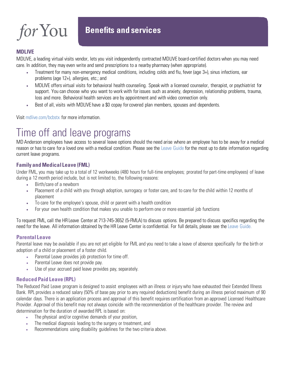#### **MDLIVE**

MDLIVE, a leading virtual visits vendor, lets you visit independently contracted MDLIVE board-certified doctors when you may need care. In addition, they may even write and send prescriptions to a nearby pharmacy (when appropriate).

- Treatment for many non-emergency medical conditions, including colds and flu, fever (age 3+), sinus infections, ear problems (age 12+), allergies, etc.; and
- MDLIVE offers virtual visits for behavioral health counseling. Speak with a licensed counselor, therapist, or psychiatrist for support. You can choose who you want to work with for issues such as anxiety, depression, relationship problems, trauma, loss and more. Behavioral health services are by appointment and with video connection only.
- Best of all, visits with MDLIVE have a \$0 copay for covered plan members, spouses and dependents.

Visit mdlive.com/bcbstx for more information.

## Time off and leave programs

MD Anderson employees have access to several leave options should the need arise where an employee has to be away for a medical reason or has to care for a loved one with a medical condition. Please see the [Leave Guide](https://www.mdanderson.org/about-md-anderson/employee-resources/leave/health-related-leave.html) for the most up to date information regarding current leave programs.

#### **Family and Medical Leave (FML)**

Under FML, you may take up to a total of 12 workweeks (480 hours for full-time employees; prorated for part-time employees) of leave during a 12 month period include, but is not limited to, the following reasons:

- Birth/care of a newborn
- Placement of a child with you through adoption, surrogacy or foster care, and to care for the child within 12 months of placement
- To care for the employee's [spouse, child or parent](https://www.mdanderson.org/about-md-anderson/employee-resources/leave/glossary.html) with a health condition
- For your own health condition that makes you unable to perform one or more essential job functions

To request FML, call the HR Leave Center at 713-745-3652 (5-FMLA) to discuss options. Be prepared to discuss specifics regarding the need for the leave. All information obtained bythe HR Leave Center is confidential. For full details, please see th[e Leave Guide.](https://www.mdanderson.org/about-md-anderson/employee-resources/leave/health-related-leave.html)

#### **Parental Leave**

Parental leave may be available if you are not yet eligible for FML and you need to take a leave of absence specifically for the birth or adoption of a child or placement of a foster child.

- Parental Leave provides job protection for time off.
- Parental Leave does not provide pay.
- Use of your accrued paid leave provides pay, separately.

#### **Reduced Paid Leave (RPL)**

The Reduced Paid Leave program is designed to assist employees with an illness or injury who have exhausted their Extended Illness Bank. RPL provides a reduced salary (50% of base pay prior to any required deductions) benefit during an illness period maximum of 90 calendar days. There is an application process and approval of this benefit requires certification from an approved Licensed Healthcare Provider. Approval of this benefit may not always coincide with the recommendation of the healthcare provider. The review and determination for the duration of awarded RPL is based on:

- The physical and/or cognitive demands of your position,
- The medical diagnosis leading to the surgery or treatment, and
- Recommendations using disability guidelines for the two criteria above.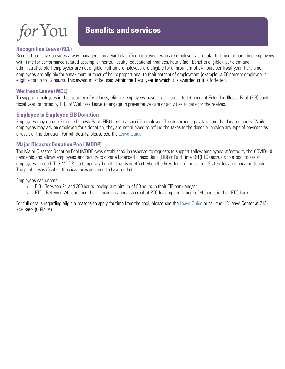#### **Recognition Leave (RCL)**

### **Benefits and services**

Recognition Leave provides a way managers can award classified employees who are employed as regular full-time or part-time employees with time for performance-related accomplishments. Faculty, educational trainees, hourly (non-benefits eligible), per diem and administrative staff employees are not eligible. Full-time employees are eligible for a maximum of 24 hours per fiscal year. Part-time employees are eligible for a maximum number of hours proportional to their percent of employment (example: a 50 percent employee is eligible for up to 12 hours). This award must be used within the fiscal year in which it is awarded or it is forfeited.

#### **Wellness Leave (WEL)**

To support employees in their journey of wellness, eligible employees have direct access to 16 hours of Extended Illness Bank (EIB) each fiscal year (prorated by FTE) of Wellness Leave to engage in preventative care or activities to care for themselves.

#### **Employee to Employee EIB Donation**

Employees may donate Extended Illness Bank (EIB) time to a specific employee. The donor must pay taxes on the donated hours. While employees may ask an employee for a donation, they are not allowed to refund the taxes to the donor or provide any type of payment as a result of the donation. For full details, please see th[e Leave Guide.](https://www.mdanderson.org/about-md-anderson/employee-resources/leave/health-related-leave.html)

#### **Major Disaster Donation Pool (MDDP)**

The Major Disaster Donation Pool (MDDP) was established in response to requests to support fellow employees affected by the COVID-19 pandemic and allows employees and faculty to donate Extended Illness Bank (EIB) or Paid Time Off (PTO) accruals to a pool to assist employees in need. The MDDP is a temporary benefit that is in effect when the President of the United States declares a major disaster. The pool closes if/when the disaster is declared to have ended.

Employees can donate:

- EIB Between 24 and 200 hours leaving a minimum of 80 hours in their EIB bank and/or
- PTO Between 24 hours and their maximum annual accrual of PTO leaving a minimum of 80 hours in their PTO bank.

For full details regarding eligible reasons to apply for time from the pool, please see th[e Leave Guide](https://www.mdanderson.org/about-md-anderson/employee-resources/leave/health-related-leave.html) or call the HR Leave Center at 713- 745-3652 (5-FMLA).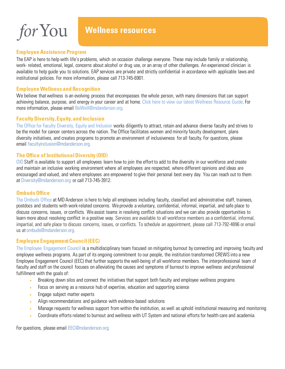### **Wellness resources**

#### <span id="page-6-0"></span>**Employee Assistance Program**

The EAP is here to help with life's problems, which on occasion challenge everyone. These may include family or relationship, work- related, emotional, legal, concerns about alcohol or drug use, or an array of other challenges. An experienced clinician is available to help guide you to solutions. EAP services are private and strictly confidential in accordance with applicable laws and institutional policies. For more information, please call 713-745-6901.

#### **Employee Wellness and Recognition**

We believe that wellness is an evolving process that encompasses the whole person, with many dimensions that can support achieving balance, purpose, and energy in your career and at home[. Click here to view our latest Wellness Resource Guide. F](https://mdacc.box.com/s/6exfe2npla8vv988yoy7ckxwngh6bdkz)or more information, please email [BeWell@mdanderson.org.](mailto:BeWell@mdanderson.org)

#### **Faculty Diversity, Equity, and Inclusion**

[The Office for Faculty Diversity, Equity and Inclusion w](https://inside.mdanderson.org/faculty-resources/wmfi/index.html)orks diligently to attract, retain and advance diverse faculty and strives to be the model for cancer centers across the nation. The Office facilitates women and minority faculty development, plans diversity initiatives, and creates programs to promote an environment of inclusiveness for all faculty. For questions, please email [facultyinclusion@mdanderson.org.](mailto:facultyinclusion@mdanderson.org)

#### **The Office of Institutional Diversity (OID)**

[OID](https://inside.mdanderson.org/departments/institutional-diversity/index.html) Staff is available to support all employees learn how to join the effort to add to the diversity in our workforce and create and maintain an inclusive working environment where all employees are respected, where different opinions and ideas are encouraged and valued, and where employees are empowered to give their personal best every day. You can reach out to them at [Diversity@mdanderson.org](mailto:Diversity@mdanderson.org) or call 713-745-3912.

#### **Ombuds Office**

[The Ombuds Office a](https://inside.mdanderson.org/departments/ombuds/index.html)t MD Anderson is here to help all employees including faculty, classified and administrative staff, trainees, postdocs and students with work-related concerns. We provide a voluntary, confidential, informal, impartial, and safe place to discuss concerns, issues, or conflicts. We assist teams in resolving conflict situations and we can also provide opportunities to learn more about resolving conflict in a positive way. Services are available to all workforce members as a confidential, informal, impartial, and safe place to discuss concerns, issues, or conflicts. To schedule an appointment, please call 713-792-4896 or email us a[t ombuds@mdanderson.org.](mailto:ombuds@mdanderson.org)

#### **Employee Engagement Council (EEC)**

[The Employee Engagement Council](https://inside.mdanderson.org/about-mdacc/employee-engagement-council/employee-engagement-council-.html) is a multidisciplinary team focused on mitigating burnout by connecting and improving faculty and employee wellness programs. As part of its ongoing commitment to our people, the institution transformed CREWS into a new Employee Engagement Council (EEC) that further supports the well-being of all workforce members. The interprofessional team of faculty and staff on the council focuses on alleviating the causes and symptoms of burnout to improve wellness and professional fulfillment with the goals of:

- Breaking down silos and connect the initiatives that support both faculty and employee wellness programs
- Focus on serving as a resource hub of expertise, education and supporting science
- Engage subject matter experts
- Align recommendations and guidance with evidence-based solutions
- Manage requests for wellness support from within the institution, as well as uphold institutional measuring and monitoring
- Coordinate efforts related to burnout and wellness with UT System and national efforts for health care and academia.

For questions, please email [EEC@mdanderson.org.](mailto:EEC@mdanderson.org)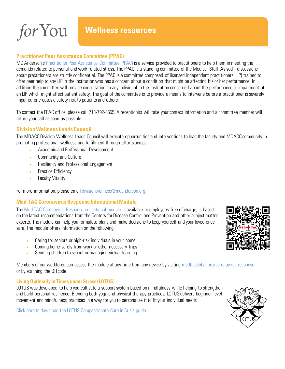

#### **Practitioner Peer Assistance Committee (PPAC)**

MD Anderson's [Practitioner Peer Assistance Committee \(PPAC\)](https://inside.mdanderson.org/faculty-resources/ppac/index.html) is a service provided to practitioners to help them in meeting the demands related to personal and work-related stress. The PPAC is a standing committee of the Medical Staff. As such, discussions about practitioners are strictly confidential. The PPAC is a committee composed of licensed independent practitioners (LIP) trained to offer peer help to any LIP in the institution who has a concern about a condition that might be affecting his or her performance. In addition the committee will provide consultation to any individual in the institution concerned about the performance or impairment of an LIP which might affect patient safety. The goal of the committee is to provide a means to intervene before a practitioner is severely impaired or creates a safety risk to patients and others.

To contact the PPAC office, please call 713-792-8555. A receptionist will take your contact information and a committee member will return your call as soon as possible.

#### **Division Wellness Leads Council**

The MDACC Division Wellness Leads Council will execute opportunities and interventions to lead the faculty and MDACC community in promoting professional wellness and fulfillment through efforts across:

- Academic and Professional Development
- Community and Culture
- Resiliency and Professional Engagement
- Practice Efficiency
- **Faculty Vitality**

For more information, please email [divisionwellness@mdanderson.org.](mailto:divisionwellness@mdanderson.org)

#### **Med TAC Coronavirus Response Educational Module**

The [Med TAC Coronavirus Response educational module](https://www.medtacglobal.org/coronavirus-response/) is available to employees free of charge, is based on the latest recommendations from the Centers for Disease Control and Prevention and other subject matter experts. The module can help you formulate plans and make decisions to keep yourself and your loved ones safe. The module offers information on the following:

- Caring for seniors or high-risk individuals in your home
- Coming home safely from work or other necessary trips
- Sending children to school or managing virtual learning

Members of our workforce can access the module at any time from any device by visiting medtacglobal.org/coronavirus-response or by scanning the QR code.

#### **Living Optimally in Times under Stress (LOTUS)**

LOTUS was developed to help you cultivate a support system based on mindfulness while helping to strengthen and build personal resilience. Blending both yoga and physical therapy practices, LOTUS delivers beginner level movement and mindfulness practices in a way for you to personalize it to fit your individual needs.

[Click here to download the LOTUS Compassionate Care in Crisis guide](https://mdacc.box.com/s/fzzn97k5an0n20eg8pq1r07g2fabvbqq)



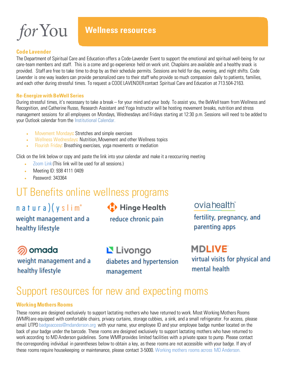**Wellness resources**

#### **Code Lavender**

The Department of Spiritual Care and Education offers a Code-Lavender Event to support the emotional and spiritual well-being for our care-team members and staff. This is a come and go experience held on work unit. Chaplains are available and a healthy snack is provided. Staff are free to take time to drop by as their schedule permits. Sessions are held for day, evening, and night shifts. Code Lavender is one way leaders can provide personalized care to their staff who provide so much compassion daily to patients, families, and each other during stressful times. To request a CODE LAVENDER contact Spiritual Care and Education at 713.504-2163.

#### **Re-Energize with BeWell Series**

During stressful times, it's necessary to take a break – for your mind and your body. To assist you, the BeWell team from Wellness and Recognition, and Catherine Russo, Research Assistant and Yoga Instructor will be hosting movement breaks, nutrition and stress management sessions for all employees on Mondays, Wednesdays and Fridays starting at 12:30 p.m. Sessions will need to be added to your Outlook calendar from the [Institutional Calendar.](http://inside3.mdanderson.org/apps/calendar/Event.cfc)

- Movement Mondays**:** Stretches and simple exercises
- Wellness Wednesdays**:** Nutrition, Movement and other Wellness topics
- Flourish Friday**:** Breathing exercises, yoga movements or mediation

Click on the link below or copy and paste the link into your calendar and make it a reoccurring meeting

- Zoom Link (This link will be used for all sessions.)
- Meeting ID: 938 4111 0409
- Password: 343364

## UT Benefits online wellness programs

 $n$  a tura) $(y s)$ im<sup>o</sup> weight management and a healthy lifestyle

Hinge Health reduce chronic pain

### oviahealth

fertility, pregnancy, and parenting apps

@ omada weight management and a healthy lifestyle

Livongo diabetes and hypertension management

**MDLIVE** virtual visits for physical and mental health

## Support resources for new and expecting moms

#### **Working Mothers Rooms**

These rooms are designed exclusively to support lactating mothers who have returned to work. Most Working Mothers Rooms (WMR) are equipped with comfortable chairs, privacy curtains, storage cubbies, a sink, and a small refrigerator. For access, please email UTP[D badgeaccess@mdanderson.org](mailto:badgeaccess@mdanderson.org) with your name, your employee ID and your employee badge number located on the back of your badge under the barcode. These rooms are designed exclusively to support lactating mothers who have returned to work according to MD Anderson guidelines. Some WMR provides limited facilities with a private space to pump. Please contact the corresponding individual in parentheses below to obtain a key, as these rooms are not accessible with your badge. If any of these rooms require housekeeping or maintenance, please contact 3-5000. [Working mothers rooms across MD Anderson.](https://inside.mdanderson.org/humanresources/working-at-md-anderson/worklife-and-wellness/2019-1438-wmr-flier-final.pdf)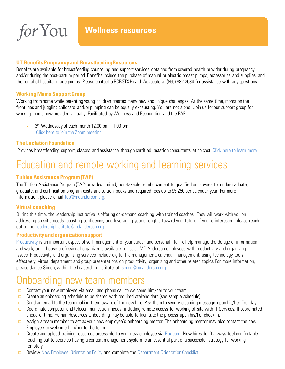

#### **UT Benefits Pregnancy and Breastfeeding Resources**

Benefits are available for breastfeeding counseling and support services obtained from covered health provider during pregnancy and/or during the post-partum period. Benefits include the purchase of manual or electric breast pumps, accessories and supplies, and the rental of hospital grade pumps. Please contact a BCBSTX Health Advocate at (866) 882-2034 for assistance with any questions.

#### **Working Moms Support Group**

Working from home while parenting young children creates many new and unique challenges. At the same time, moms on the frontlines and juggling childcare and/or pumping can be equally exhausting. You are not alone! Join us for our support group for working moms now provided virtually. Facilitated by Wellness and Recognition and the EAP.

 $3<sup>rd</sup>$  Wednesday of each month 12:00 pm  $-$  1:00 pm [Click here to join the Zoom meeting](https://mdacc.zoom.us/j/92732774616?pwd=REY1YnQ2ZnVVem1CRkhuaHl2WGVvQT09)

#### **The Lactation Foundation**

Provides breastfeeding support, classes and assistance through certified lactation consultants at no cost. [Click here to learn more.](https://med.uth.edu/lactation-foundation/)

## Education and remote working and learning services

#### **Tuition Assistance Program (TAP)**

The Tuition Assistance Program (TAP) provides limited, non-taxable reimbursement to qualified employees for undergraduate, graduate, and certification program costs and tuition, books and required fees up to \$5,250 per calendar year. For more information, please email [tap@mdanderson.org.](mailto:tap@mdanderson.org)

#### **Virtual coaching**

During this time, the Leadership Institutive is offering on-demand coaching with trained coaches. They will work with you on addressing specific needs, boosting confidence, and leveraging your strengths toward your future. If you're interested, please reach out to the [LeadershipInstitute@mdanderson.org.](mailto:LeadershipInstitute@mdanderson.org)

#### **Productivity and organization support**

[Productivity](https://inside.mdanderson.org/about-mdacc/leadership-institute/productivity-and-organization.html) is an important aspect of self-management of your career and personal life. To help manage the deluge of information and work, an in-house professional organizer is available to assist MD Anderson employees with productivity and organizing issues. Productivity and organizing services include digital file management, calendar management, using technology tools effectively, virtual department and group presentations on productivity, organizing and other related topics. For more information, please Janice Simon, within the Leadership Institute, at [jsimon@mdanderson.org.](mailto:jsimon@mdanderson.org)

### Onboarding new team members

- $\Box$  Contact your new employee via email and phone call to welcome him/her to your team.
- $\Box$  Create an onboarding schedule to be shared with required stakeholders (see sample schedule)
- □ Send an email to the team making them aware of the new hire. Ask them to send welcoming message upon his/her first day.
- □ Coordinate computer and telecommunication needs, including remote access for working offsite with [IT Services.](https://inside.mdanderson.org/departments/it-services/how-do-i---main-page.html) If coordinated ahead of time, Human Resources Onboarding may be able to facilitate the process upon his/her check in.
- Assign a team member to act as your new employee's onboarding mentor. The onboarding mentor may also contact the new Employee to welcome him/her to the team.
- Create and upload training resources accessible to your new employee via [Box.com. N](https://inside.mdanderson.org/news-communications/employee-notes/2015-articles/08-august/box-com.html)ew hires don't always feel comfortable reaching out to peers so having a content management system is an essential part of a successful strategy for working remotely.
- Review [New Employee Orientation Policy](http://inside.mdanderson.org/institutionalpolicy/ADM0269) and complete the [Department Orientation Checklist](http://inside3.mdanderson.org/apps/ipp/published/attachments/ATT0384.doc)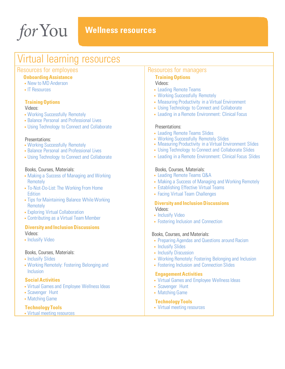for You

### **Wellness resources**

## Virtual learning resources

#### Resources for employees

#### **Onboarding Assistance**

- [New to MD Anderson](https://inside.mdanderson.org/humanresources/new-to-md-anderson/welcome/index.html)
- [IT Resources](https://inside.mdanderson.org/departments/information-services/index.html)

#### **Training Options**

#### Videos:

- [Working Successfully Remotely](https://inside.mdanderson.org/departments/information-services/index.html)
- [Balance Personal and Professional Lives](http://mdanderson.learn.taleo.net/Page/258/?sessionid=3-434FCA6C-1891-4797-A00A-53B7E03E862B)
- [Using Technology to Connect and Collaborate](https://mdanderson.learn.taleo.net/login.asp?id=178410178410&amp%3Bamp%3Bamp%3Bamp%3Brequestedurl=%2fPage%2f258%2f%3fsessionid%3d3-434FCA6C-1891-4797-A00A-53B7E03E862B%26deepLink%3d1%26sessionid%3d3-F71BF6A4-A257-4875-8665-23C7AED36AE0%26id%3d178410%26sessionid%3d3-65AFEED8-A29B-4907-8229-D34A82743756%26id%3d178410)

#### Presentations:

- [Working Successfully Remotely](http://mdanderson.learn.taleo.net/files/powerpoint/Panel_Series___Working_Successfully_Remotely_6.25.2020.pptx)
- [Balance Personal and Professional Lives](https://mdanderson.learn.taleo.net/login.asp?id=178410178410&amp%3Bamp%3Bamp%3Bamp%3Brequestedurl=%2fPage%2f258%2f%3fsessionid%3d3-434FCA6C-1891-4797-A00A-53B7E03E862B%26deepLink%3d1%26sessionid%3d3-8E6C1F14-995C-426F-8423-B254418C85F5%26id%3d178410%26sessionid%3d3-1B549780-CE31-467C-BEE0-7A9206118FE3%26id%3d178410)
- [Using Technology to Connect and Collaborate](http://mdanderson.learn.taleo.net/Page/258/?sessionid=3-434FCA6C-1891-4797-A00A-53B7E03E862B)

#### Books, Courses, Materials:

- Making a Success of Managing and Working **Remotely**
- To-Not-Do-List: The Working From Home **Edition**
- Tips for Maintaining Balance While Working **Remotely**
- Exploring Virtual Collaboration
- Contributing as a Virtual Team Member

#### **Diversity and Inclusion Discussions** Videos:

• [Inclusify Video](https://mediaplayer.mdanderson.edu/video-full/1F55E857-8DEA-468F-A335-E470784A5C52)

#### Books, Courses, Materials:

- [Inclusify Slides](https://inside.mdanderson.org/about-mdacc/leadership-institute/files/inclusify-presentation---s-johnson.pdf)
- [Working Remotely: Fostering Belonging and](http://mdanderson.learn.taleo.net/files/powerpoint/Panel___Remote_Work_Series_Belonging_and_Inclusion_6.16.20.pptx) [Inclusion](http://mdanderson.learn.taleo.net/files/powerpoint/Panel___Remote_Work_Series_Belonging_and_Inclusion_6.16.20.pptx)

#### **Social Activities**

- [Virtual Games and Employee Wellness Ideas](http://mdanderson.learn.taleo.net/files/pdf/Social_Activities_Virtual_Games.pdf)
- [Scavenger Hunt](http://mdanderson.learn.taleo.net/files/pdf/Social_Activities_Scavenger_Hunt.pdf)
- [Matching](http://mdanderson.learn.taleo.net/files/pdf/Social_Activities_Matching_Game.pdf) Game

#### **Technology Tools**

• [Virtual meeting resources](https://inside.mdanderson.org/departments/it-services/how-do-i---virtual-meetings.html)

#### Resources for managers

#### **Training Options**

#### Videos:

- [Leading Remote Teams](http://mdanderson.learn.taleo.net/Page/258/?sessionid=3-434FCA6C-1891-4797-A00A-53B7E03E862B)
- [Working Successfully Remotely](http://mdanderson.learn.taleo.net/Page/258/?sessionid=3-434FCA6C-1891-4797-A00A-53B7E03E862B)
- [Measuring Productivity in a Virtual Environment](http://mdanderson.learn.taleo.net/Page/258/?sessionid=3-434FCA6C-1891-4797-A00A-53B7E03E862B)
- [Using Technology to Connect and Collaborate](http://mdanderson.learn.taleo.net/Page/258/?sessionid=3-434FCA6C-1891-4797-A00A-53B7E03E862B)
- [Leading in a Remote Environment: Clinical Focus](http://mdanderson.learn.taleo.net/Page/258/?sessionid=3-434FCA6C-1891-4797-A00A-53B7E03E862B)

#### Presentations:

- [Leading Remote Teams Slides](http://mdanderson.learn.taleo.net/files/powerpoint/Virtual_Panel_Leading_Remote_Teams.pptx)
- [Working Successfully Remotely Slides](http://mdanderson.learn.taleo.net/files/powerpoint/Panel_Series___Working_Successfully_Remotely_6.25.2020.pptx)
- [Measuring Productivity in a Virtual Environment Slides](http://mdanderson.learn.taleo.net/files/powerpoint/Panel___Measuring_Productivity_7.9.2020.pptx)
- [Using Technology to Connect and Collaborate Slides](http://mdanderson.learn.taleo.net/files/pdf/Virtual_Remote_Work_Summer_Panel___Remote_Work_Technologies.pdf)
- [Leading in a Remote Environment:](http://mdanderson.learn.taleo.net/files/powerpoint/LEADing_in_a_Remote_Environment___a_Clinical_Focus_7.23.2020.pptx) Clinical Focus Slides

#### Books, Courses, Materials:

- [Leading Remote Teams Q&A](http://mdanderson.learn.taleo.net/files/pdf/remote_work_webinar___leading_remote_teams_qa.pdf)
- Making a Success of Managing and Working Remotely
- Establishing Effective Virtual Teams
- Facing Virtual Team Challenges

#### **Diversity and Inclusion Discussions**

- Videos:
- [Inclusify Video](https://mediaplayer.mdanderson.edu/video-full/1F55E857-8DEA-468F-A335-E470784A5C52)
- [Fostering Inclusion and Connection](http://mdanderson.learn.taleo.net/Page/258/?sessionid=3-434FCA6C-1891-4797-A00A-53B7E03E862B)

#### Books, Courses, and Materials:

- [Preparing Agendas and Questions around Racism](http://inside.mdanderson.org/about-mdacc/diversity-council/files/conversation-agenda---race-and-inclusion.docx)
- [Inclusify Slides](https://inside.mdanderson.org/about-mdacc/leadership-institute/files/inclusify-presentation---s-johnson.pdf)
- [Inclusify Discussion](https://inside.mdanderson.org/about-mdacc/leadership-institute/files/inclusifydiscussion-johnson.pdf)
- [Working Remotely: Fostering Belonging and Inclusion](http://mdanderson.learn.taleo.net/files/powerpoint/Panel___Remote_Work_Series_Belonging_and_Inclusion_6.16.20.pptx)
- [Fostering Inclusion and Connection Slides](http://mdanderson.learn.taleo.net/files/pdf/remote_work_webinar___inclusion_qa.pdf)

#### **Engagement Activities**

- [Virtual Games and Employee Wellness Ideas](http://mdanderson.learn.taleo.net/files/pdf/Social_Activities_Virtual_Games.pdf)
- [Scavenger Hunt](http://mdanderson.learn.taleo.net/files/pdf/Social_Activities_Scavenger_Hunt.pdf)
- [Matching Game](http://mdanderson.learn.taleo.net/files/pdf/Social_Activities_Matching_Game.pdf)

#### **Technology Tools**

• [Virtual meeting resources](https://inside.mdanderson.org/departments/it-services/how-do-i---virtual-meetings.html)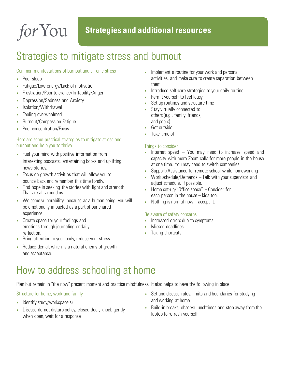## <span id="page-11-0"></span>Strategies to mitigate stress and burnout

#### Common manifestations of burnout and chronic stress

- Poor sleep
- Fatigue/Low energy/Lack of motivation
- Frustration/Poor tolerance/Irritability/Anger
- Depression/Sadness and Anxiety
- Isolation/Withdrawal
- Feeling overwhelmed
- Burnout/Compassion Fatigue
- Poor concentration/Focus

#### Here are some practical strategies to mitigate stress and burnout and help you to thrive.

- Fuel your mind with positive information from interesting podcasts, entertaining books and uplifting news stories.
- Focus on growth activities that will allow you to bounce back and remember this time fondly.
- Find hope in seeking the stories with light and strength That are all around us.
- Welcome vulnerability, because as a human being, you will be emotionally impacted as a part of our shared experience.
- Create space for your feelings and emotions through journaling or daily reflection.
- Bring attention to your body; reduce your stress.
- Reduce denial, which is a natural enemy of growth and acceptance.
- Implement a routine for your work and personal activities, and make sure to create separation between them.
- Introduce self-care strategies to your daily routine.
- Permit yourself to feel lousy
- Set up routines and structure time
- Stay virtually connected to others (e.g., family, friends, and peers)
- Get outside
- Take time off

#### Things to consider

- Internet speed  $-$  You may need to increase speed and capacity with more Zoom calls for more people in the house at one time. You may need to switch companies.
- Support/Assistance for remote school while homeworking
- Work schedule/Demands Talk with your supervisor and adjust schedule, if possible.
- Home set-up/"Office space" Consider for each person in the house – kids too.
- Nothing is normal now accept it.

#### Be aware of safety concerns

- Increased errors due to symptoms
- Missed deadlines
- Taking shortcuts

## How to address schooling at home

Plan but remain in "the now" present moment and practice mindfulness. It also helps to have the following in place:

#### Structure for home, work and family

- Identify study/workspace(s)
- Discuss do not disturb policy, closed-door, knock gently when open, wait for a response
- Set and discuss rules, limits and boundaries for studying and working at home
- Build-in breaks, observe lunchtimes and step away from the laptop to refresh yourself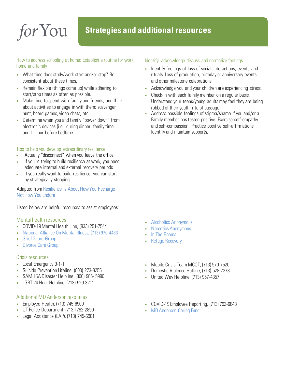#### How to address schooling at home: Establish a routine for work, home and family

- What time does study/work start and/or stop? Be consistent about these times.
- Remain flexible (things come up) while adhering to start/stop times as often as possible.
- Make time to spend with family and friends, and think about activities to engage in with them; scavenger hunt, board games, video chats, etc.
- Determine when you and family "power down" from electronic devices (i.e., during dinner, family time and 1- hour before bedtime.

#### Tips to help you develop extraordinary resilience

- Actually "disconnect" when you leave the office
- If you're trying to build resilience at work, you need adequate internal and external recovery periods
- If you really want to build resilience, you can start by strategically stopping.

Adapted from [Resilience is About How You Recharge](https://hbr-org.cdn.ampproject.org/c/s/hbr.org/amp/2016/06/resilience-is-about-how-you-recharge-not-how-you-endure)  [Not How You Endure](https://hbr-org.cdn.ampproject.org/c/s/hbr.org/amp/2016/06/resilience-is-about-how-you-recharge-not-how-you-endure)

Listed below are helpful resources to assist employees:

#### Mental health resources

- COVID-19 Mental Health Line, (833) 251-7544
- National Alliance [On Mental Illness, \(7](https://namigreaterhouston.org/)13) 970-4483
- **[Grief Share Group](https://www.griefshare.org/)**
- **[Divorce Care Group](https://www.divorcecare.org/)**

#### Crisis resources

- Local Emergency 9-1-1
- Suicide Prevention Lifeline, (800) 273-8255
- SAMHSA Disaster Helpline, (800) 985- 5990
- LGBT 24 Hour Helpline, (713) 529-3211

#### Additional MD Anderson resources

- Employee Health, (713) 745-6900
- UT Police Department, (713 ) 792-2890
- Legal Assistance (EAP), (713) 745-6901

#### Identify, acknowledge discuss and normalize feelings

- Identify feelings of loss of social interactions, events and rituals. Loss of graduation, birthday or anniversary events, and other milestone celebrations.
- Acknowledge you and your children are experiencing stress.
- Check-in with each family member on a regular basis. Understand your teens/young adults may feel they are being robbed of their youth, rite of passage.
- Address possible feelings of stigma/shame if you and/or a Family member has tested positive. Exercise self-empathy and self-compassion. Practice positive self-affirmations. Identify and maintain supports.

- [Alcoholics Anonymous](https://www.aa.org/)
- [Narcotics Anonymous](https://www.na.org/meetingsearch/)
- [In The Rooms](https://www.intherooms.com/home/)
- Refuge Recovery
- Mobile Crisis Team MCOT, (713) 970-7520
- Domestic Violence Hotline, (713) 528-7273
- United Way Helpline, (713) 957-4357
- COVID-19 Employee Reporting, (713) 792-6843
- [MD Anderson Caring Fund](https://inside.mdanderson.org/about-mdacc/caring-fund/index.html)